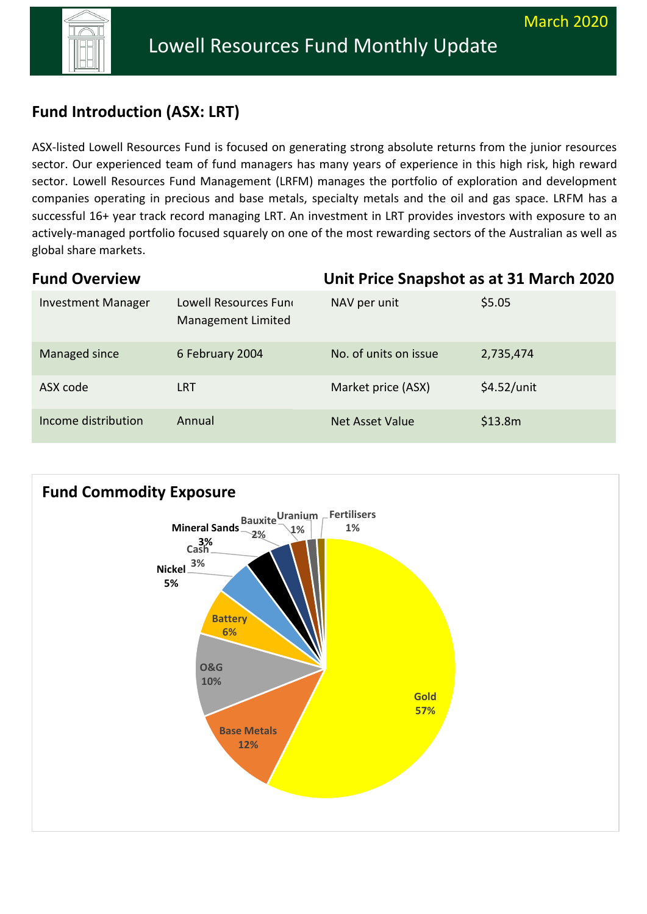

# **Fund Fund introduction (ASX: LRT) Introduction (ASX: LRT)**

ASX-listed Lowell Resources Fund is focused on generating strong absolute returns from the junior resources sector. Our experienced team of fund managers has many years of experience in this high risk, high reward sector. Lowell Resources Fund Management (LRFM) manages the portfolio of exploration and development companies operating in precious and base metals, specialty metals and the oil and gas space. LRFM has a successful 16+ year track record managing LRT. An investment in LRT provides investors with exposure to an actively-managed portfolio focused squarely on one of the most rewarding sectors of the Australian as well as global share markets.

| <b>Fund Overview</b>      |                                             | Unit Price Snapshot as at 31 March 2020 |               |
|---------------------------|---------------------------------------------|-----------------------------------------|---------------|
| <b>Investment Manager</b> | Lowell Resources Func<br>Management Limited | NAV per unit                            | \$5.05        |
| Managed since             | 6 February 2004                             | No. of units on issue                   | 2,735,474     |
| ASX code                  | <b>LRT</b>                                  | Market price (ASX)                      | $$4.52/$ unit |
| Income distribution       | Annual                                      | <b>Net Asset Value</b>                  | \$13.8m       |

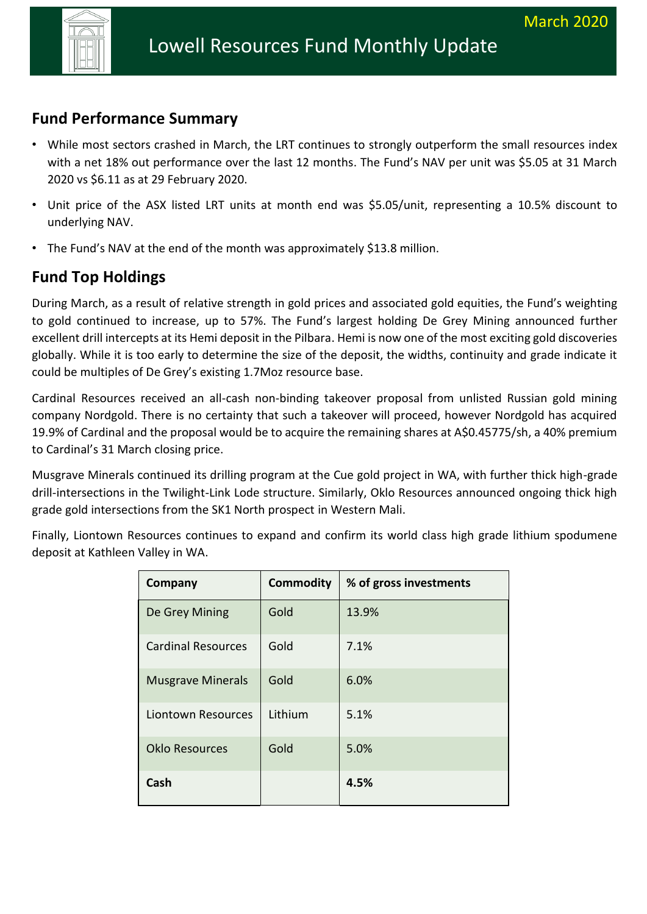

## **Fund Performance Summary**

- While most sectors crashed in March, the LRT continues to strongly outperform the small resources index with a net 18% out performance over the last 12 months. The Fund's NAV per unit was \$5.05 at 31 March 2020 vs \$6.11 as at 29 February 2020.
- Unit price of the ASX listed LRT units at month end was \$5.05/unit, representing a 10.5% discount to underlying NAV.
- The Fund's NAV at the end of the month was approximately \$13.8 million.

# **Fund Top Holdings**

During March, as a result of relative strength in gold prices and associated gold equities, the Fund's weighting to gold continued to increase, up to 57%. The Fund's largest holding De Grey Mining announced further excellent drill intercepts at its Hemi deposit in the Pilbara. Hemi is now one of the most exciting gold discoveries globally. While it is too early to determine the size of the deposit, the widths, continuity and grade indicate it could be multiples of De Grey's existing 1.7Moz resource base.

Cardinal Resources received an all-cash non-binding takeover proposal from unlisted Russian gold mining company Nordgold. There is no certainty that such a takeover will proceed, however Nordgold has acquired 19.9% of Cardinal and the proposal would be to acquire the remaining shares at A\$0.45775/sh, a 40% premium to Cardinal's 31 March closing price.

Musgrave Minerals continued its drilling program at the Cue gold project in WA, with further thick high-grade drill-intersections in the Twilight-Link Lode structure. Similarly, Oklo Resources announced ongoing thick high grade gold intersections from the SK1 North prospect in Western Mali.

Finally, Liontown Resources continues to expand and confirm its world class high grade lithium spodumene deposit at Kathleen Valley in WA.

| Company                   | <b>Commodity</b> | % of gross investments |
|---------------------------|------------------|------------------------|
| De Grey Mining            | Gold             | 13.9%                  |
| <b>Cardinal Resources</b> | Gold             | 7.1%                   |
| <b>Musgrave Minerals</b>  | Gold             | 6.0%                   |
| Liontown Resources        | Lithium          | 5.1%                   |
| <b>Oklo Resources</b>     | Gold             | 5.0%                   |
| Cash                      |                  | 4.5%                   |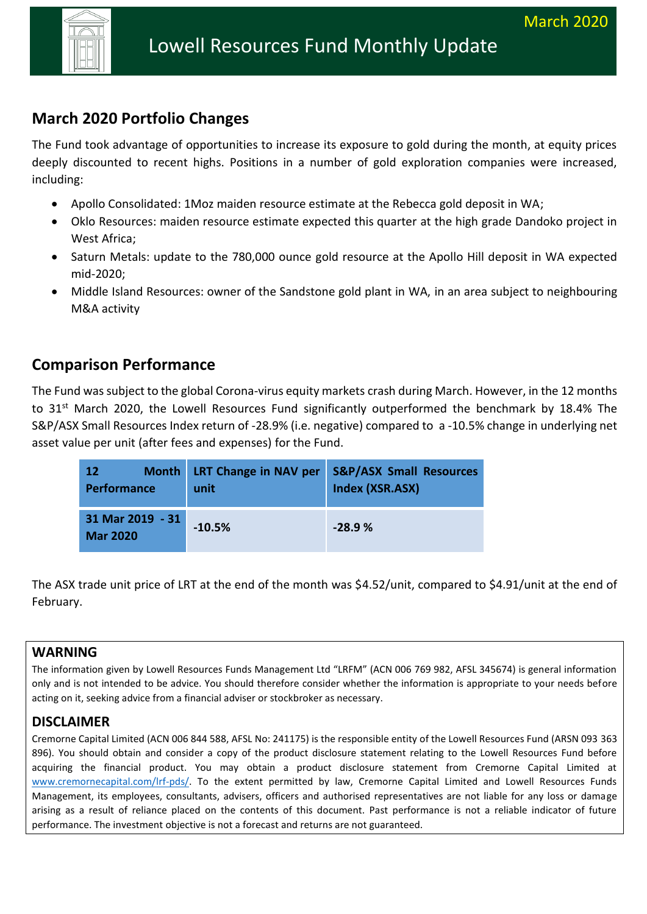

# **March 2020 Portfolio Changes**

The Fund took advantage of opportunities to increase its exposure to gold during the month, at equity prices deeply discounted to recent highs. Positions in a number of gold exploration companies were increased, including:

- Apollo Consolidated: 1Moz maiden resource estimate at the Rebecca gold deposit in WA;
- Oklo Resources: maiden resource estimate expected this quarter at the high grade Dandoko project in West Africa;
- Saturn Metals: update to the 780,000 ounce gold resource at the Apollo Hill deposit in WA expected mid-2020;
- Middle Island Resources: owner of the Sandstone gold plant in WA, in an area subject to neighbouring M&A activity

# **Comparison Performance**

The Fund was subject to the global Corona-virus equity markets crash during March. However, in the 12 months to 31<sup>st</sup> March 2020, the Lowell Resources Fund significantly outperformed the benchmark by 18.4% The S&P/ASX Small Resources Index return of -28.9% (i.e. negative) compared to a -10.5% change in underlying net asset value per unit (after fees and expenses) for the Fund.

| 12 <sub>l</sub><br><b>Performance</b> | unit     | Month LRT Change in NAV per S&P/ASX Small Resources<br>Index (XSR.ASX) |
|---------------------------------------|----------|------------------------------------------------------------------------|
| 31 Mar 2019 - 31<br><b>Mar 2020</b>   | $-10.5%$ | $-28.9%$                                                               |

The ASX trade unit price of LRT at the end of the month was \$4.52/unit, compared to \$4.91/unit at the end of February.

### **WARNING**

The information given by Lowell Resources Funds Management Ltd "LRFM" (ACN 006 769 982, AFSL 345674) is general information only and is not intended to be advice. You should therefore consider whether the information is appropriate to your needs before acting on it, seeking advice from a financial adviser or stockbroker as necessary.

### **DISCLAIMER**

Cremorne Capital Limited (ACN 006 844 588, AFSL No: 241175) is the responsible entity of the Lowell Resources Fund (ARSN 093 363 896). You should obtain and consider a copy of the product disclosure statement relating to the Lowell Resources Fund before acquiring the financial product. You may obtain a product disclosure statement from Cremorne Capital Limited at [www.cremornecapital.com/lrf-pds/.](http://www.cremornecapital.com/lrf-pds/) To the extent permitted by law, Cremorne Capital Limited and Lowell Resources Funds Management, its employees, consultants, advisers, officers and authorised representatives are not liable for any loss or damage arising as a result of reliance placed on the contents of this document. Past performance is not a reliable indicator of future performance. The investment objective is not a forecast and returns are not guaranteed.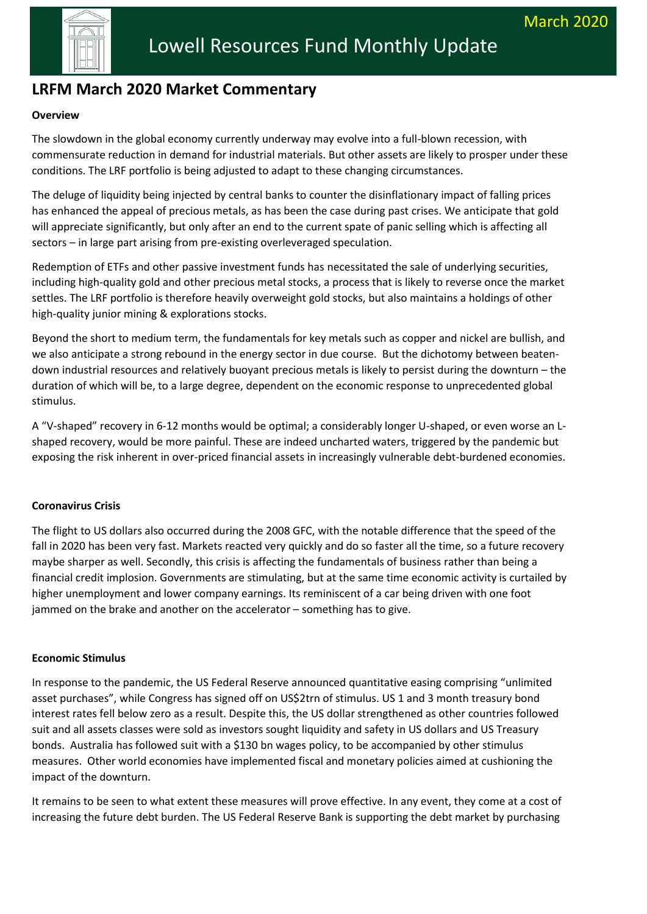

# **LRFM March 2020 Market Commentary**

## **Fund interview and interview and interview and interview and interview and interview**  $\mathbf{r}$

The slowdown in the global economy currently underway may evolve into a full-blown recession, with commensurate reduction in demand for industrial materials. But other assets are likely to prosper under these conditions. The LRF portfolio is being adjusted to adapt to these changing circumstances.

The deluge of liquidity being injected by central banks to counter the disinflationary impact of falling prices has enhanced the appeal of precious metals, as has been the case during past crises. We anticipate that gold will appreciate significantly, but only after an end to the current spate of panic selling which is affecting all sectors – in large part arising from pre-existing overleveraged speculation.

Redemption of ETFs and other passive investment funds has necessitated the sale of underlying securities, including high-quality gold and other precious metal stocks, a process that is likely to reverse once the market settles. The LRF portfolio is therefore heavily overweight gold stocks, but also maintains a holdings of other high-quality junior mining & explorations stocks.

Beyond the short to medium term, the fundamentals for key metals such as copper and nickel are bullish, and we also anticipate a strong rebound in the energy sector in due course. But the dichotomy between beatendown industrial resources and relatively buoyant precious metals is likely to persist during the downturn – the duration of which will be, to a large degree, dependent on the economic response to unprecedented global stimulus.

A "V-shaped" recovery in 6-12 months would be optimal; a considerably longer U-shaped, or even worse an Lshaped recovery, would be more painful. These are indeed uncharted waters, triggered by the pandemic but exposing the risk inherent in over-priced financial assets in increasingly vulnerable debt-burdened economies.

#### **Coronavirus Crisis**

The flight to US dollars also occurred during the 2008 GFC, with the notable difference that the speed of the fall in 2020 has been very fast. Markets reacted very quickly and do so faster all the time, so a future recovery maybe sharper as well. Secondly, this crisis is affecting the fundamentals of business rather than being a financial credit implosion. Governments are stimulating, but at the same time economic activity is curtailed by higher unemployment and lower company earnings. Its reminiscent of a car being driven with one foot jammed on the brake and another on the accelerator – something has to give.

#### **Economic Stimulus**

In response to the pandemic, the US Federal Reserve announced quantitative easing comprising "unlimited asset purchases", while Congress has signed off on US\$2trn of stimulus. US 1 and 3 month treasury bond interest rates fell below zero as a result. Despite this, the US dollar strengthened as other countries followed suit and all assets classes were sold as investors sought liquidity and safety in US dollars and US Treasury bonds. Australia has followed suit with a \$130 bn wages policy, to be accompanied by other stimulus measures. Other world economies have implemented fiscal and monetary policies aimed at cushioning the impact of the downturn.

It remains to be seen to what extent these measures will prove effective. In any event, they come at a cost of increasing the future debt burden. The US Federal Reserve Bank is supporting the debt market by purchasing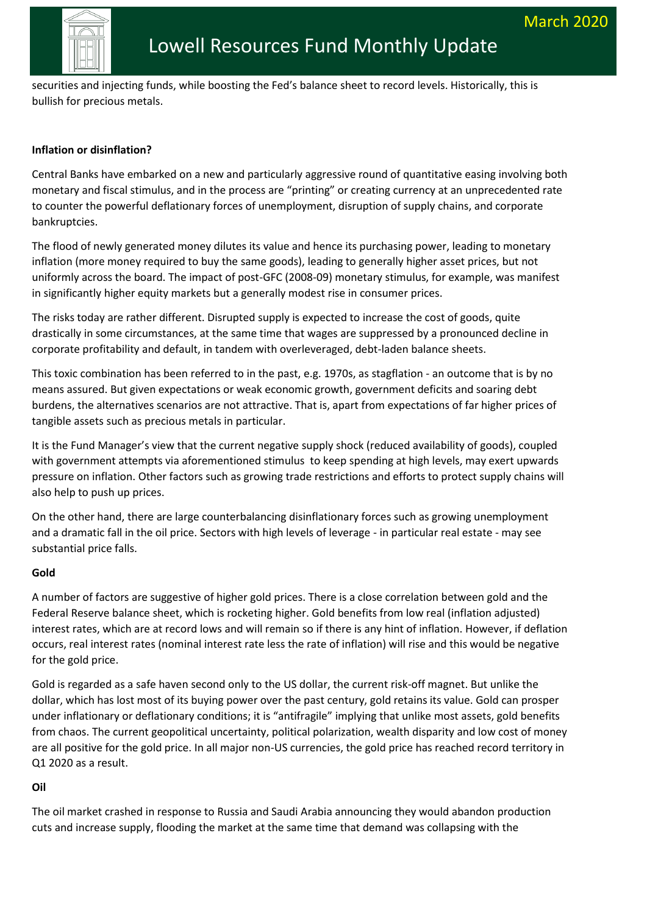

**Fund introduction (ASX: LRT)** securities and injecting funds, while boosting the Fed's balance sheet to record levels. Historically, this is bullish for precious metals.

### **Inflation or disinflation?**

Central Banks have embarked on a new and particularly aggressive round of quantitative easing involving both monetary and fiscal stimulus, and in the process are "printing" or creating currency at an unprecedented rate to counter the powerful deflationary forces of unemployment, disruption of supply chains, and corporate bankruptcies.

The flood of newly generated money dilutes its value and hence its purchasing power, leading to monetary inflation (more money required to buy the same goods), leading to generally higher asset prices, but not uniformly across the board. The impact of post-GFC (2008-09) monetary stimulus, for example, was manifest in significantly higher equity markets but a generally modest rise in consumer prices.

The risks today are rather different. Disrupted supply is expected to increase the cost of goods, quite drastically in some circumstances, at the same time that wages are suppressed by a pronounced decline in corporate profitability and default, in tandem with overleveraged, debt-laden balance sheets.

This toxic combination has been referred to in the past, e.g. 1970s, as stagflation - an outcome that is by no means assured. But given expectations or weak economic growth, government deficits and soaring debt burdens, the alternatives scenarios are not attractive. That is, apart from expectations of far higher prices of tangible assets such as precious metals in particular.

It is the Fund Manager's view that the current negative supply shock (reduced availability of goods), coupled with government attempts via aforementioned stimulus to keep spending at high levels, may exert upwards pressure on inflation. Other factors such as growing trade restrictions and efforts to protect supply chains will also help to push up prices.

On the other hand, there are large counterbalancing disinflationary forces such as growing unemployment and a dramatic fall in the oil price. Sectors with high levels of leverage - in particular real estate - may see substantial price falls.

#### **Gold**

A number of factors are suggestive of higher gold prices. There is a close correlation between gold and the Federal Reserve balance sheet, which is rocketing higher. Gold benefits from low real (inflation adjusted) interest rates, which are at record lows and will remain so if there is any hint of inflation. However, if deflation occurs, real interest rates (nominal interest rate less the rate of inflation) will rise and this would be negative for the gold price.

Gold is regarded as a safe haven second only to the US dollar, the current risk-off magnet. But unlike the dollar, which has lost most of its buying power over the past century, gold retains its value. Gold can prosper under inflationary or deflationary conditions; it is "antifragile" implying that unlike most assets, gold benefits from chaos. The current geopolitical uncertainty, political polarization, wealth disparity and low cost of money are all positive for the gold price. In all major non-US currencies, the gold price has reached record territory in Q1 2020 as a result.

### **Oil**

The oil market crashed in response to Russia and Saudi Arabia announcing they would abandon production cuts and increase supply, flooding the market at the same time that demand was collapsing with the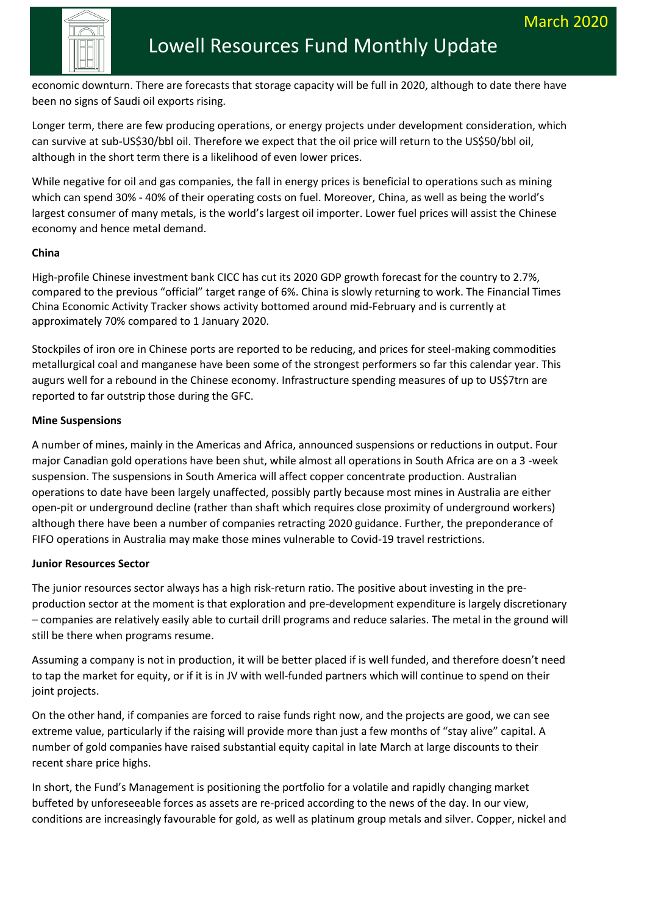

**Fund introduction (ASS: LATE INTERNATION (ASSESSMENT)** economic downturn. There are forecasts that storage capacity will be full in 2020, although to date there have been no signs of Saudi oil exports rising.

Longer term, there are few producing operations, or energy projects under development consideration, which can survive at sub-US\$30/bbl oil. Therefore we expect that the oil price will return to the US\$50/bbl oil, although in the short term there is a likelihood of even lower prices.

While negative for oil and gas companies, the fall in energy prices is beneficial to operations such as mining which can spend 30% - 40% of their operating costs on fuel. Moreover, China, as well as being the world's largest consumer of many metals, is the world's largest oil importer. Lower fuel prices will assist the Chinese economy and hence metal demand.

### **China**

High-profile Chinese investment bank CICC has cut its 2020 GDP growth forecast for the country to 2.7%, compared to the previous "official" target range of 6%. China is slowly returning to work. The Financial Times China Economic Activity Tracker shows activity bottomed around mid-February and is currently at approximately 70% compared to 1 January 2020.

Stockpiles of iron ore in Chinese ports are reported to be reducing, and prices for steel-making commodities metallurgical coal and manganese have been some of the strongest performers so far this calendar year. This augurs well for a rebound in the Chinese economy. Infrastructure spending measures of up to US\$7trn are reported to far outstrip those during the GFC.

### **Mine Suspensions**

A number of mines, mainly in the Americas and Africa, announced suspensions or reductions in output. Four major Canadian gold operations have been shut, while almost all operations in South Africa are on a 3 -week suspension. The suspensions in South America will affect copper concentrate production. Australian operations to date have been largely unaffected, possibly partly because most mines in Australia are either open-pit or underground decline (rather than shaft which requires close proximity of underground workers) although there have been a number of companies retracting 2020 guidance. Further, the preponderance of FIFO operations in Australia may make those mines vulnerable to Covid-19 travel restrictions.

### **Junior Resources Sector**

The junior resources sector always has a high risk-return ratio. The positive about investing in the preproduction sector at the moment is that exploration and pre-development expenditure is largely discretionary – companies are relatively easily able to curtail drill programs and reduce salaries. The metal in the ground will still be there when programs resume.

Assuming a company is not in production, it will be better placed if is well funded, and therefore doesn't need to tap the market for equity, or if it is in JV with well-funded partners which will continue to spend on their joint projects.

On the other hand, if companies are forced to raise funds right now, and the projects are good, we can see extreme value, particularly if the raising will provide more than just a few months of "stay alive" capital. A number of gold companies have raised substantial equity capital in late March at large discounts to their recent share price highs.

In short, the Fund's Management is positioning the portfolio for a volatile and rapidly changing market buffeted by unforeseeable forces as assets are re-priced according to the news of the day. In our view, conditions are increasingly favourable for gold, as well as platinum group metals and silver. Copper, nickel and